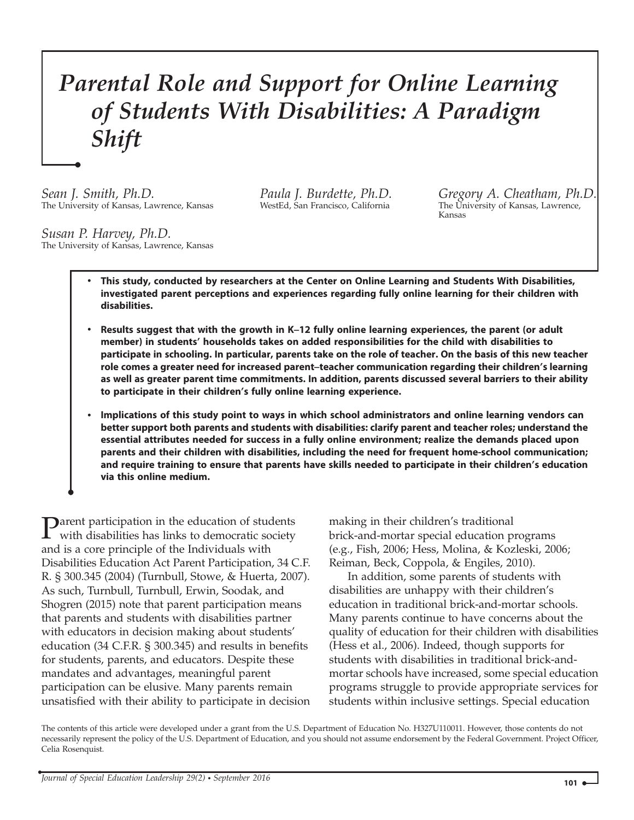## Parental Role and Support for Online Learning of Students With Disabilities: A Paradigm Shift

Sean J. Smith, Ph.D. The University of Kansas, Lawrence, Kansas Paula J. Burdette, Ph.D. WestEd, San Francisco, California

Gregory A. Cheatham, Ph.D. The University of Kansas, Lawrence, Kansas

Susan P. Harvey, Ph.D. The University of Kansas, Lawrence, Kansas

- . This study, conducted by researchers at the Center on Online Learning and Students With Disabilities, investigated parent perceptions and experiences regarding fully online learning for their children with disabilities.
- . Results suggest that with the growth in K–12 fully online learning experiences, the parent (or adult member) in students' households takes on added responsibilities for the child with disabilities to participate in schooling. In particular, parents take on the role of teacher. On the basis of this new teacher role comes a greater need for increased parent–teacher communication regarding their children's learning as well as greater parent time commitments. In addition, parents discussed several barriers to their ability to participate in their children's fully online learning experience.
- . Implications of this study point to ways in which school administrators and online learning vendors can better support both parents and students with disabilities: clarify parent and teacher roles; understand the essential attributes needed for success in a fully online environment; realize the demands placed upon parents and their children with disabilities, including the need for frequent home-school communication; and require training to ensure that parents have skills needed to participate in their children's education via this online medium.

**D**arent participation in the education of students with disabilities has links to democratic society and is a core principle of the Individuals with Disabilities Education Act Parent Participation, 34 C.F. R. § 300.345 (2004) (Turnbull, Stowe, & Huerta, 2007). As such, Turnbull, Turnbull, Erwin, Soodak, and Shogren (2015) note that parent participation means that parents and students with disabilities partner with educators in decision making about students' education (34 C.F.R. § 300.345) and results in benefits for students, parents, and educators. Despite these mandates and advantages, meaningful parent participation can be elusive. Many parents remain unsatisfied with their ability to participate in decision

making in their children's traditional brick-and-mortar special education programs (e.g., Fish, 2006; Hess, Molina, & Kozleski, 2006; Reiman, Beck, Coppola, & Engiles, 2010).

In addition, some parents of students with disabilities are unhappy with their children's education in traditional brick-and-mortar schools. Many parents continue to have concerns about the quality of education for their children with disabilities (Hess et al., 2006). Indeed, though supports for students with disabilities in traditional brick-andmortar schools have increased, some special education programs struggle to provide appropriate services for students within inclusive settings. Special education

The contents of this article were developed under a grant from the U.S. Department of Education No. H327U110011. However, those contents do not necessarily represent the policy of the U.S. Department of Education, and you should not assume endorsement by the Federal Government. Project Officer, Celia Rosenquist.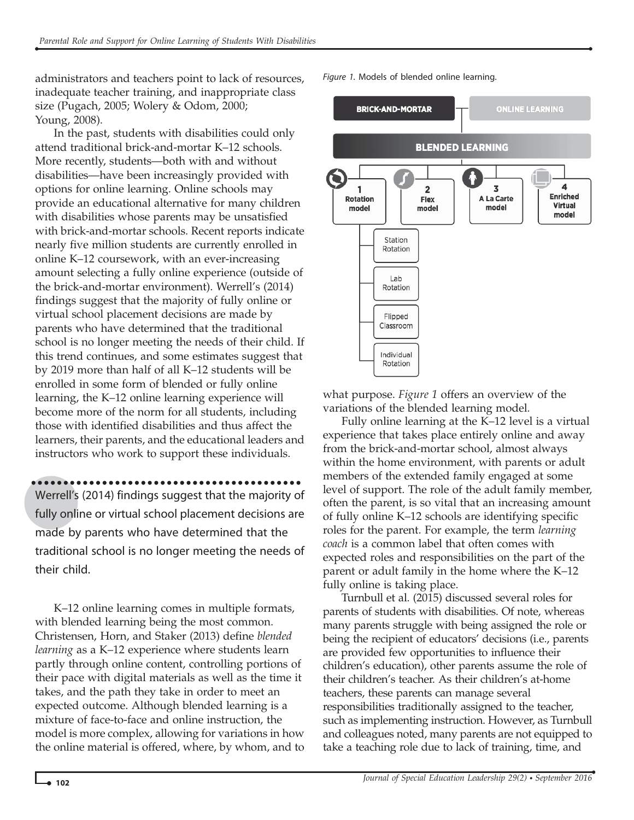administrators and teachers point to lack of resources, inadequate teacher training, and inappropriate class size (Pugach, 2005; Wolery & Odom, 2000; Young, 2008).

In the past, students with disabilities could only attend traditional brick-and-mortar K–12 schools. More recently, students—both with and without disabilities—have been increasingly provided with options for online learning. Online schools may provide an educational alternative for many children with disabilities whose parents may be unsatisfied with brick-and-mortar schools. Recent reports indicate nearly five million students are currently enrolled in online K–12 coursework, with an ever-increasing amount selecting a fully online experience (outside of the brick-and-mortar environment). Werrell's (2014) findings suggest that the majority of fully online or virtual school placement decisions are made by parents who have determined that the traditional school is no longer meeting the needs of their child. If this trend continues, and some estimates suggest that by 2019 more than half of all K–12 students will be enrolled in some form of blended or fully online learning, the K–12 online learning experience will become more of the norm for all students, including those with identified disabilities and thus affect the learners, their parents, and the educational leaders and instructors who work to support these individuals.

Werrell's (2014) findings suggest that the majority of fully online or virtual school placement decisions are made by parents who have determined that the traditional school is no longer meeting the needs of their child.

K–12 online learning comes in multiple formats, with blended learning being the most common. Christensen, Horn, and Staker (2013) define blended learning as a K-12 experience where students learn partly through online content, controlling portions of their pace with digital materials as well as the time it takes, and the path they take in order to meet an expected outcome. Although blended learning is a mixture of face-to-face and online instruction, the model is more complex, allowing for variations in how the online material is offered, where, by whom, and to Figure 1. Models of blended online learning.



what purpose. Figure 1 offers an overview of the variations of the blended learning model.

Fully online learning at the K–12 level is a virtual experience that takes place entirely online and away from the brick-and-mortar school, almost always within the home environment, with parents or adult members of the extended family engaged at some level of support. The role of the adult family member, often the parent, is so vital that an increasing amount of fully online K–12 schools are identifying specific roles for the parent. For example, the term learning coach is a common label that often comes with expected roles and responsibilities on the part of the parent or adult family in the home where the K–12 fully online is taking place.

Turnbull et al. (2015) discussed several roles for parents of students with disabilities. Of note, whereas many parents struggle with being assigned the role or being the recipient of educators' decisions (i.e., parents are provided few opportunities to influence their children's education), other parents assume the role of their children's teacher. As their children's at-home teachers, these parents can manage several responsibilities traditionally assigned to the teacher, such as implementing instruction. However, as Turnbull and colleagues noted, many parents are not equipped to take a teaching role due to lack of training, time, and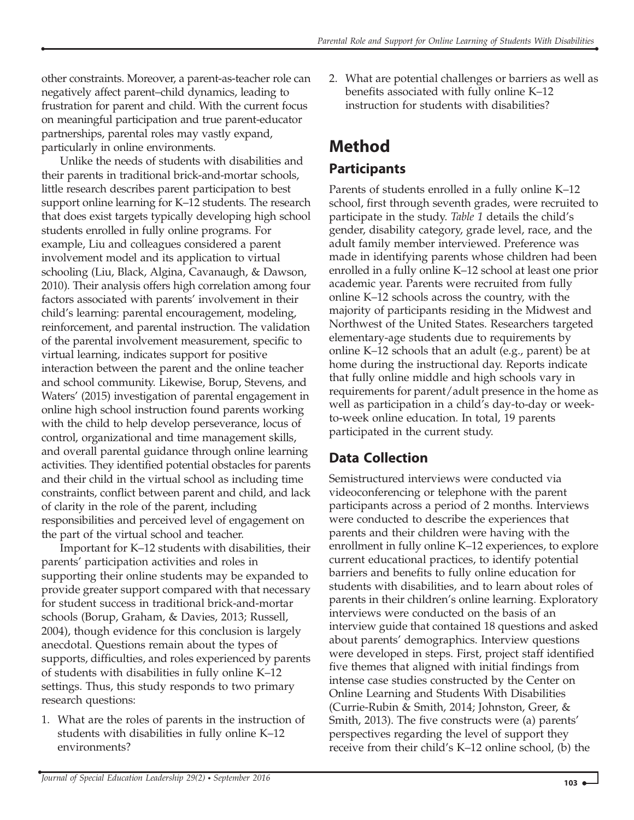other constraints. Moreover, a parent-as-teacher role can negatively affect parent–child dynamics, leading to frustration for parent and child. With the current focus on meaningful participation and true parent-educator partnerships, parental roles may vastly expand, particularly in online environments.

Unlike the needs of students with disabilities and their parents in traditional brick-and-mortar schools, little research describes parent participation to best support online learning for K–12 students. The research that does exist targets typically developing high school students enrolled in fully online programs. For example, Liu and colleagues considered a parent involvement model and its application to virtual schooling (Liu, Black, Algina, Cavanaugh, & Dawson, 2010). Their analysis offers high correlation among four factors associated with parents' involvement in their child's learning: parental encouragement, modeling, reinforcement, and parental instruction. The validation of the parental involvement measurement, specific to virtual learning, indicates support for positive interaction between the parent and the online teacher and school community. Likewise, Borup, Stevens, and Waters' (2015) investigation of parental engagement in online high school instruction found parents working with the child to help develop perseverance, locus of control, organizational and time management skills, and overall parental guidance through online learning activities. They identified potential obstacles for parents and their child in the virtual school as including time constraints, conflict between parent and child, and lack of clarity in the role of the parent, including responsibilities and perceived level of engagement on the part of the virtual school and teacher.

Important for K–12 students with disabilities, their parents' participation activities and roles in supporting their online students may be expanded to provide greater support compared with that necessary for student success in traditional brick-and-mortar schools (Borup, Graham, & Davies, 2013; Russell, 2004), though evidence for this conclusion is largely anecdotal. Questions remain about the types of supports, difficulties, and roles experienced by parents of students with disabilities in fully online K–12 settings. Thus, this study responds to two primary research questions:

1. What are the roles of parents in the instruction of students with disabilities in fully online K–12 environments?

2. What are potential challenges or barriers as well as benefits associated with fully online K–12 instruction for students with disabilities?

# Method

#### Participants

Parents of students enrolled in a fully online K–12 school, first through seventh grades, were recruited to participate in the study. Table 1 details the child's gender, disability category, grade level, race, and the adult family member interviewed. Preference was made in identifying parents whose children had been enrolled in a fully online K–12 school at least one prior academic year. Parents were recruited from fully online K–12 schools across the country, with the majority of participants residing in the Midwest and Northwest of the United States. Researchers targeted elementary-age students due to requirements by online K–12 schools that an adult (e.g., parent) be at home during the instructional day. Reports indicate that fully online middle and high schools vary in requirements for parent/adult presence in the home as well as participation in a child's day-to-day or weekto-week online education. In total, 19 parents participated in the current study.

#### Data Collection

Semistructured interviews were conducted via videoconferencing or telephone with the parent participants across a period of 2 months. Interviews were conducted to describe the experiences that parents and their children were having with the enrollment in fully online K–12 experiences, to explore current educational practices, to identify potential barriers and benefits to fully online education for students with disabilities, and to learn about roles of parents in their children's online learning. Exploratory interviews were conducted on the basis of an interview guide that contained 18 questions and asked about parents' demographics. Interview questions were developed in steps. First, project staff identified five themes that aligned with initial findings from intense case studies constructed by the Center on Online Learning and Students With Disabilities (Currie-Rubin & Smith, 2014; Johnston, Greer, & Smith, 2013). The five constructs were (a) parents' perspectives regarding the level of support they receive from their child's K–12 online school, (b) the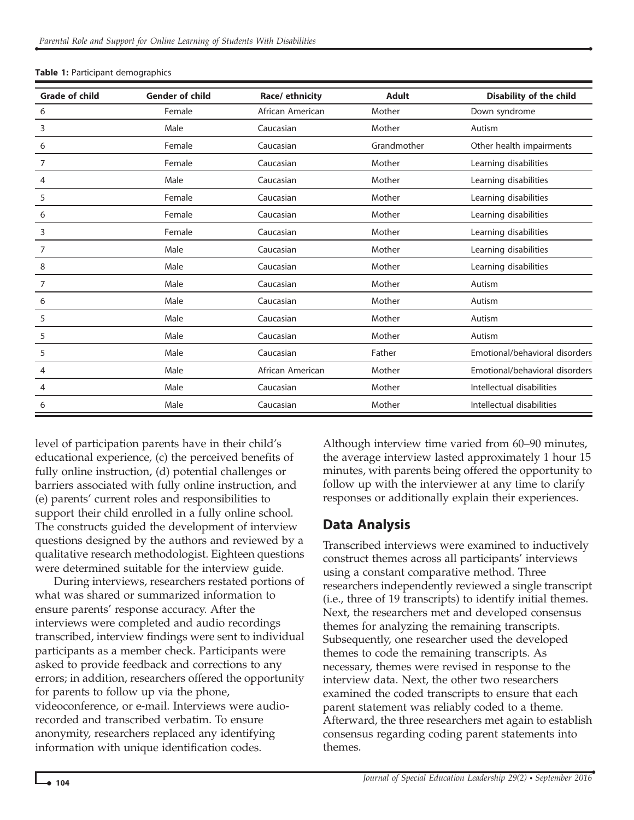| <b>Grade of child</b> | <b>Gender of child</b> | Race/ ethnicity  | <b>Adult</b> | <b>Disability of the child</b> |
|-----------------------|------------------------|------------------|--------------|--------------------------------|
| 6                     | Female                 | African American | Mother       | Down syndrome                  |
| 3                     | Male                   | Caucasian        | Mother       | Autism                         |
| 6                     | Female                 | Caucasian        | Grandmother  | Other health impairments       |
| 7                     | Female                 | Caucasian        | Mother       | Learning disabilities          |
| 4                     | Male                   | Caucasian        | Mother       | Learning disabilities          |
| 5                     | Female                 | Caucasian        | Mother       | Learning disabilities          |
| 6                     | Female                 | Caucasian        | Mother       | Learning disabilities          |
| 3                     | Female                 | Caucasian        | Mother       | Learning disabilities          |
| 7                     | Male                   | Caucasian        | Mother       | Learning disabilities          |
| 8                     | Male                   | Caucasian        | Mother       | Learning disabilities          |
| 7                     | Male                   | Caucasian        | Mother       | Autism                         |
| 6                     | Male                   | Caucasian        | Mother       | Autism                         |
| 5                     | Male                   | Caucasian        | Mother       | Autism                         |
| 5                     | Male                   | Caucasian        | Mother       | Autism                         |
| 5                     | Male                   | Caucasian        | Father       | Emotional/behavioral disorders |
| 4                     | Male                   | African American | Mother       | Emotional/behavioral disorders |
| 4                     | Male                   | Caucasian        | Mother       | Intellectual disabilities      |
| 6                     | Male                   | Caucasian        | Mother       | Intellectual disabilities      |

Table 1: Participant demographics

level of participation parents have in their child's educational experience, (c) the perceived benefits of fully online instruction, (d) potential challenges or barriers associated with fully online instruction, and (e) parents' current roles and responsibilities to support their child enrolled in a fully online school. The constructs guided the development of interview questions designed by the authors and reviewed by a qualitative research methodologist. Eighteen questions were determined suitable for the interview guide.

During interviews, researchers restated portions of what was shared or summarized information to ensure parents' response accuracy. After the interviews were completed and audio recordings transcribed, interview findings were sent to individual participants as a member check. Participants were asked to provide feedback and corrections to any errors; in addition, researchers offered the opportunity for parents to follow up via the phone, videoconference, or e-mail. Interviews were audiorecorded and transcribed verbatim. To ensure anonymity, researchers replaced any identifying information with unique identification codes.

Although interview time varied from 60–90 minutes, the average interview lasted approximately 1 hour 15 minutes, with parents being offered the opportunity to follow up with the interviewer at any time to clarify responses or additionally explain their experiences.

#### Data Analysis

Transcribed interviews were examined to inductively construct themes across all participants' interviews using a constant comparative method. Three researchers independently reviewed a single transcript (i.e., three of 19 transcripts) to identify initial themes. Next, the researchers met and developed consensus themes for analyzing the remaining transcripts. Subsequently, one researcher used the developed themes to code the remaining transcripts. As necessary, themes were revised in response to the interview data. Next, the other two researchers examined the coded transcripts to ensure that each parent statement was reliably coded to a theme. Afterward, the three researchers met again to establish consensus regarding coding parent statements into themes.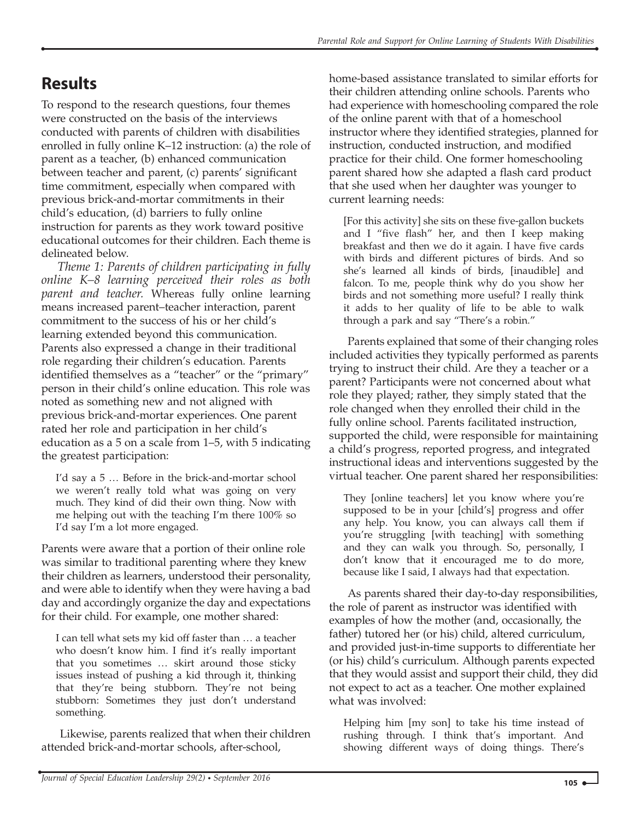### **Results**

To respond to the research questions, four themes were constructed on the basis of the interviews conducted with parents of children with disabilities enrolled in fully online K–12 instruction: (a) the role of parent as a teacher, (b) enhanced communication between teacher and parent, (c) parents' significant time commitment, especially when compared with previous brick-and-mortar commitments in their child's education, (d) barriers to fully online instruction for parents as they work toward positive educational outcomes for their children. Each theme is delineated below.

Theme 1: Parents of children participating in fully online K–8 learning perceived their roles as both parent and teacher. Whereas fully online learning means increased parent–teacher interaction, parent commitment to the success of his or her child's learning extended beyond this communication. Parents also expressed a change in their traditional role regarding their children's education. Parents identified themselves as a "teacher" or the "primary" person in their child's online education. This role was noted as something new and not aligned with previous brick-and-mortar experiences. One parent rated her role and participation in her child's education as a 5 on a scale from 1–5, with 5 indicating the greatest participation:

I'd say a 5 … Before in the brick-and-mortar school we weren't really told what was going on very much. They kind of did their own thing. Now with me helping out with the teaching I'm there 100% so I'd say I'm a lot more engaged.

Parents were aware that a portion of their online role was similar to traditional parenting where they knew their children as learners, understood their personality, and were able to identify when they were having a bad day and accordingly organize the day and expectations for their child. For example, one mother shared:

I can tell what sets my kid off faster than … a teacher who doesn't know him. I find it's really important that you sometimes … skirt around those sticky issues instead of pushing a kid through it, thinking that they're being stubborn. They're not being stubborn: Sometimes they just don't understand something.

Likewise, parents realized that when their children attended brick-and-mortar schools, after-school,

home-based assistance translated to similar efforts for their children attending online schools. Parents who had experience with homeschooling compared the role of the online parent with that of a homeschool instructor where they identified strategies, planned for instruction, conducted instruction, and modified practice for their child. One former homeschooling parent shared how she adapted a flash card product that she used when her daughter was younger to current learning needs:

[For this activity] she sits on these five-gallon buckets and I "five flash" her, and then I keep making breakfast and then we do it again. I have five cards with birds and different pictures of birds. And so she's learned all kinds of birds, [inaudible] and falcon. To me, people think why do you show her birds and not something more useful? I really think it adds to her quality of life to be able to walk through a park and say "There's a robin."

Parents explained that some of their changing roles included activities they typically performed as parents trying to instruct their child. Are they a teacher or a parent? Participants were not concerned about what role they played; rather, they simply stated that the role changed when they enrolled their child in the fully online school. Parents facilitated instruction, supported the child, were responsible for maintaining a child's progress, reported progress, and integrated instructional ideas and interventions suggested by the virtual teacher. One parent shared her responsibilities:

They [online teachers] let you know where you're supposed to be in your [child's] progress and offer any help. You know, you can always call them if you're struggling [with teaching] with something and they can walk you through. So, personally, I don't know that it encouraged me to do more, because like I said, I always had that expectation.

As parents shared their day-to-day responsibilities, the role of parent as instructor was identified with examples of how the mother (and, occasionally, the father) tutored her (or his) child, altered curriculum, and provided just-in-time supports to differentiate her (or his) child's curriculum. Although parents expected that they would assist and support their child, they did not expect to act as a teacher. One mother explained what was involved:

Helping him [my son] to take his time instead of rushing through. I think that's important. And showing different ways of doing things. There's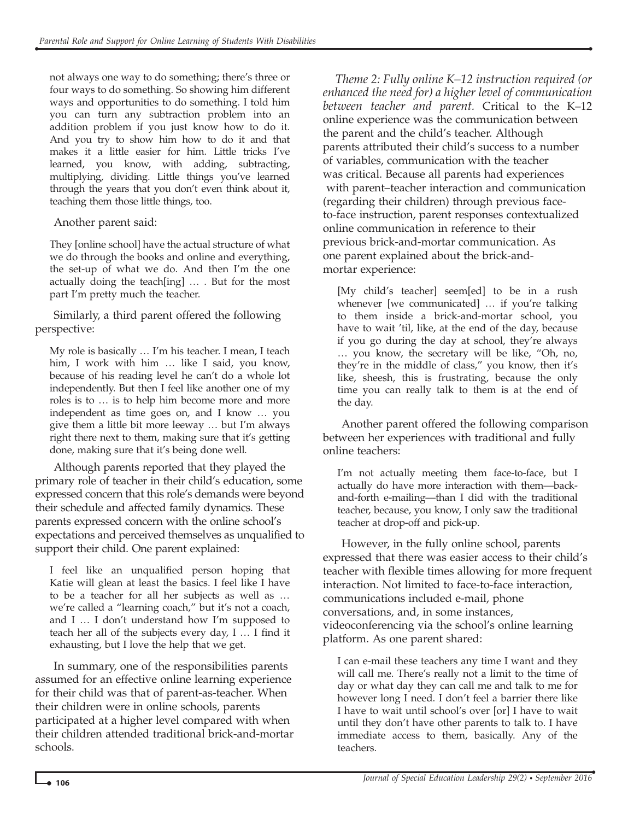not always one way to do something; there's three or four ways to do something. So showing him different ways and opportunities to do something. I told him you can turn any subtraction problem into an addition problem if you just know how to do it. And you try to show him how to do it and that makes it a little easier for him. Little tricks I've learned, you know, with adding, subtracting, multiplying, dividing. Little things you've learned through the years that you don't even think about it, teaching them those little things, too.

Another parent said:

They [online school] have the actual structure of what we do through the books and online and everything, the set-up of what we do. And then I'm the one actually doing the teach[ing] … . But for the most part I'm pretty much the teacher.

Similarly, a third parent offered the following perspective:

My role is basically … I'm his teacher. I mean, I teach him, I work with him … like I said, you know, because of his reading level he can't do a whole lot independently. But then I feel like another one of my roles is to … is to help him become more and more independent as time goes on, and I know … you give them a little bit more leeway … but I'm always right there next to them, making sure that it's getting done, making sure that it's being done well.

Although parents reported that they played the primary role of teacher in their child's education, some expressed concern that this role's demands were beyond their schedule and affected family dynamics. These parents expressed concern with the online school's expectations and perceived themselves as unqualified to support their child. One parent explained:

I feel like an unqualified person hoping that Katie will glean at least the basics. I feel like I have to be a teacher for all her subjects as well as … we're called a "learning coach," but it's not a coach, and I … I don't understand how I'm supposed to teach her all of the subjects every day, I … I find it exhausting, but I love the help that we get.

In summary, one of the responsibilities parents assumed for an effective online learning experience for their child was that of parent-as-teacher. When their children were in online schools, parents participated at a higher level compared with when their children attended traditional brick-and-mortar schools.

Theme 2: Fully online K–12 instruction required (or enhanced the need for) a higher level of communication between teacher and parent. Critical to the K–12 online experience was the communication between the parent and the child's teacher. Although parents attributed their child's success to a number of variables, communication with the teacher was critical. Because all parents had experiences with parent–teacher interaction and communication (regarding their children) through previous faceto-face instruction, parent responses contextualized online communication in reference to their previous brick-and-mortar communication. As one parent explained about the brick-andmortar experience:

[My child's teacher] seem[ed] to be in a rush whenever [we communicated] … if you're talking to them inside a brick-and-mortar school, you have to wait 'til, like, at the end of the day, because if you go during the day at school, they're always … you know, the secretary will be like, "Oh, no, they're in the middle of class," you know, then it's like, sheesh, this is frustrating, because the only time you can really talk to them is at the end of the day.

Another parent offered the following comparison between her experiences with traditional and fully online teachers:

I'm not actually meeting them face-to-face, but I actually do have more interaction with them—backand-forth e-mailing—than I did with the traditional teacher, because, you know, I only saw the traditional teacher at drop-off and pick-up.

However, in the fully online school, parents expressed that there was easier access to their child's teacher with flexible times allowing for more frequent interaction. Not limited to face-to-face interaction, communications included e-mail, phone conversations, and, in some instances, videoconferencing via the school's online learning platform. As one parent shared:

I can e-mail these teachers any time I want and they will call me. There's really not a limit to the time of day or what day they can call me and talk to me for however long I need. I don't feel a barrier there like I have to wait until school's over [or] I have to wait until they don't have other parents to talk to. I have immediate access to them, basically. Any of the teachers.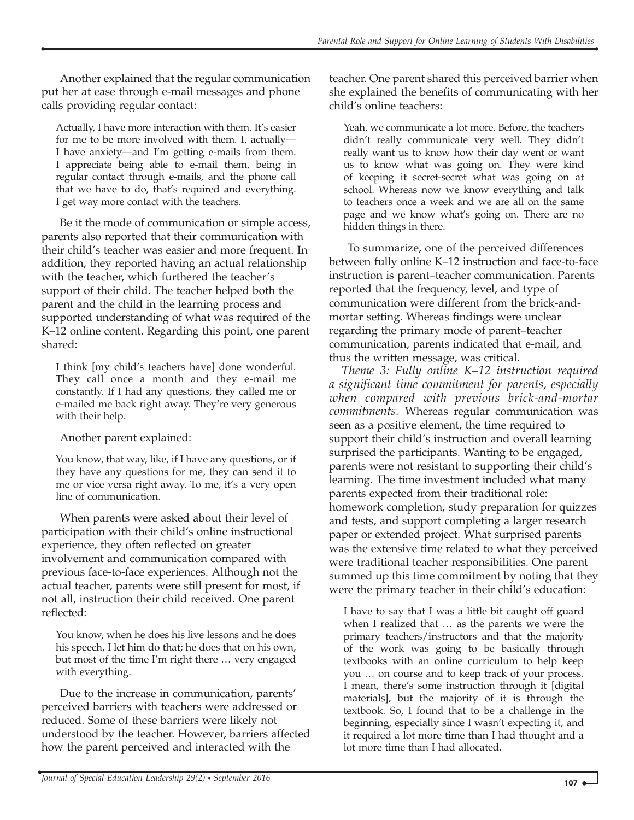Another explained that the regular communication put her at ease through e-mail messages and phone calls providing regular contact:

Actually, I have more interaction with them. It's easier for me to be more involved with them. I, actually— I have anxiety—and I'm getting e-mails from them. I appreciate being able to e-mail them, being in regular contact through e-mails, and the phone call that we have to do, that's required and everything. I get way more contact with the teachers.

Be it the mode of communication or simple access, parents also reported that their communication with their child's teacher was easier and more frequent. In addition, they reported having an actual relationship with the teacher, which furthered the teacher's support of their child. The teacher helped both the parent and the child in the learning process and supported understanding of what was required of the K–12 online content. Regarding this point, one parent shared:

I think [my child's teachers have] done wonderful. They call once a month and they e-mail me constantly. If I had any questions, they called me or e-mailed me back right away. They're very generous with their help.

Another parent explained:

You know, that way, like, if I have any questions, or if they have any questions for me, they can send it to me or vice versa right away. To me, it's a very open line of communication.

When parents were asked about their level of participation with their child's online instructional experience, they often reflected on greater involvement and communication compared with previous face-to-face experiences. Although not the actual teacher, parents were still present for most, if not all, instruction their child received. One parent reflected:

You know, when he does his live lessons and he does his speech, I let him do that; he does that on his own, but most of the time I'm right there … very engaged with everything.

Due to the increase in communication, parents' perceived barriers with teachers were addressed or reduced. Some of these barriers were likely not understood by the teacher. However, barriers affected how the parent perceived and interacted with the

teacher. One parent shared this perceived barrier when she explained the benefits of communicating with her child's online teachers:

Yeah, we communicate a lot more. Before, the teachers didn't really communicate very well. They didn't really want us to know how their day went or want us to know what was going on. They were kind of keeping it secret-secret what was going on at school. Whereas now we know everything and talk to teachers once a week and we are all on the same page and we know what's going on. There are no hidden things in there.

To summarize, one of the perceived differences between fully online K–12 instruction and face-to-face instruction is parent–teacher communication. Parents reported that the frequency, level, and type of communication were different from the brick-andmortar setting. Whereas findings were unclear regarding the primary mode of parent–teacher communication, parents indicated that e-mail, and thus the written message, was critical.

Theme 3: Fully online K–12 instruction required a significant time commitment for parents, especially when compared with previous brick-and-mortar commitments. Whereas regular communication was seen as a positive element, the time required to support their child's instruction and overall learning surprised the participants. Wanting to be engaged, parents were not resistant to supporting their child's learning. The time investment included what many parents expected from their traditional role: homework completion, study preparation for quizzes and tests, and support completing a larger research paper or extended project. What surprised parents was the extensive time related to what they perceived were traditional teacher responsibilities. One parent summed up this time commitment by noting that they were the primary teacher in their child's education:

I have to say that I was a little bit caught off guard when I realized that … as the parents we were the primary teachers/instructors and that the majority of the work was going to be basically through textbooks with an online curriculum to help keep you … on course and to keep track of your process. I mean, there's some instruction through it [digital materials], but the majority of it is through the textbook. So, I found that to be a challenge in the beginning, especially since I wasn't expecting it, and it required a lot more time than I had thought and a lot more time than I had allocated.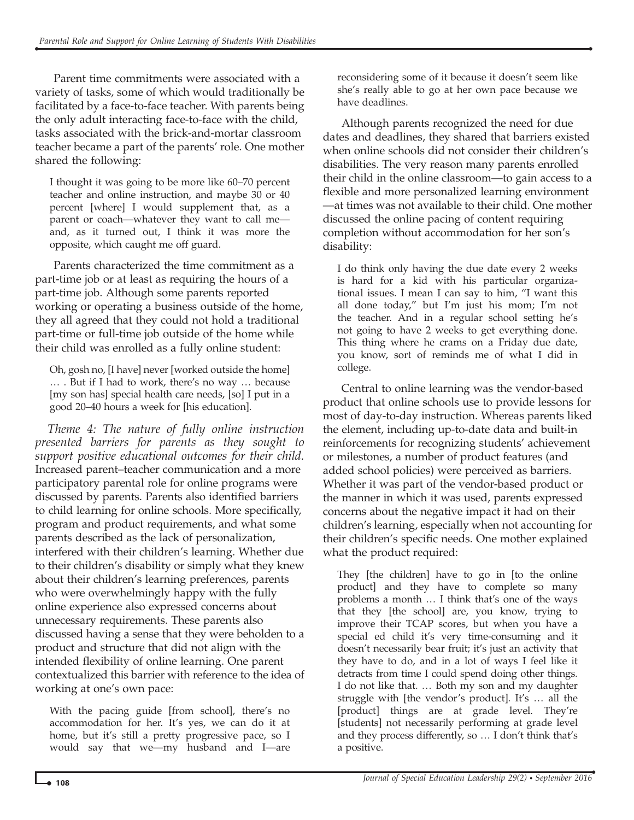Parent time commitments were associated with a variety of tasks, some of which would traditionally be facilitated by a face-to-face teacher. With parents being the only adult interacting face-to-face with the child, tasks associated with the brick-and-mortar classroom teacher became a part of the parents' role. One mother shared the following:

I thought it was going to be more like 60–70 percent teacher and online instruction, and maybe 30 or 40 percent [where] I would supplement that, as a parent or coach—whatever they want to call me and, as it turned out, I think it was more the opposite, which caught me off guard.

Parents characterized the time commitment as a part-time job or at least as requiring the hours of a part-time job. Although some parents reported working or operating a business outside of the home, they all agreed that they could not hold a traditional part-time or full-time job outside of the home while their child was enrolled as a fully online student:

Oh, gosh no, [I have] never [worked outside the home] … . But if I had to work, there's no way … because [my son has] special health care needs, [so] I put in a good 20–40 hours a week for [his education].

Theme 4: The nature of fully online instruction presented barriers for parents as they sought to support positive educational outcomes for their child. Increased parent–teacher communication and a more participatory parental role for online programs were discussed by parents. Parents also identified barriers to child learning for online schools. More specifically, program and product requirements, and what some parents described as the lack of personalization, interfered with their children's learning. Whether due to their children's disability or simply what they knew about their children's learning preferences, parents who were overwhelmingly happy with the fully online experience also expressed concerns about unnecessary requirements. These parents also discussed having a sense that they were beholden to a product and structure that did not align with the intended flexibility of online learning. One parent contextualized this barrier with reference to the idea of working at one's own pace:

With the pacing guide [from school], there's no accommodation for her. It's yes, we can do it at home, but it's still a pretty progressive pace, so I would say that we—my husband and I—are reconsidering some of it because it doesn't seem like she's really able to go at her own pace because we have deadlines.

Although parents recognized the need for due dates and deadlines, they shared that barriers existed when online schools did not consider their children's disabilities. The very reason many parents enrolled their child in the online classroom—to gain access to a flexible and more personalized learning environment —at times was not available to their child. One mother discussed the online pacing of content requiring completion without accommodation for her son's disability:

I do think only having the due date every 2 weeks is hard for a kid with his particular organiza‐ tional issues. I mean I can say to him, "I want this all done today," but I'm just his mom; I'm not the teacher. And in a regular school setting he's not going to have 2 weeks to get everything done. This thing where he crams on a Friday due date, you know, sort of reminds me of what I did in college.

Central to online learning was the vendor-based product that online schools use to provide lessons for most of day-to-day instruction. Whereas parents liked the element, including up-to-date data and built-in reinforcements for recognizing students' achievement or milestones, a number of product features (and added school policies) were perceived as barriers. Whether it was part of the vendor-based product or the manner in which it was used, parents expressed concerns about the negative impact it had on their children's learning, especially when not accounting for their children's specific needs. One mother explained what the product required:

They [the children] have to go in [to the online product] and they have to complete so many problems a month … I think that's one of the ways that they [the school] are, you know, trying to improve their TCAP scores, but when you have a special ed child it's very time-consuming and it doesn't necessarily bear fruit; it's just an activity that they have to do, and in a lot of ways I feel like it detracts from time I could spend doing other things. I do not like that. … Both my son and my daughter struggle with [the vendor's product]. It's … all the [product] things are at grade level. They're [students] not necessarily performing at grade level and they process differently, so … I don't think that's a positive.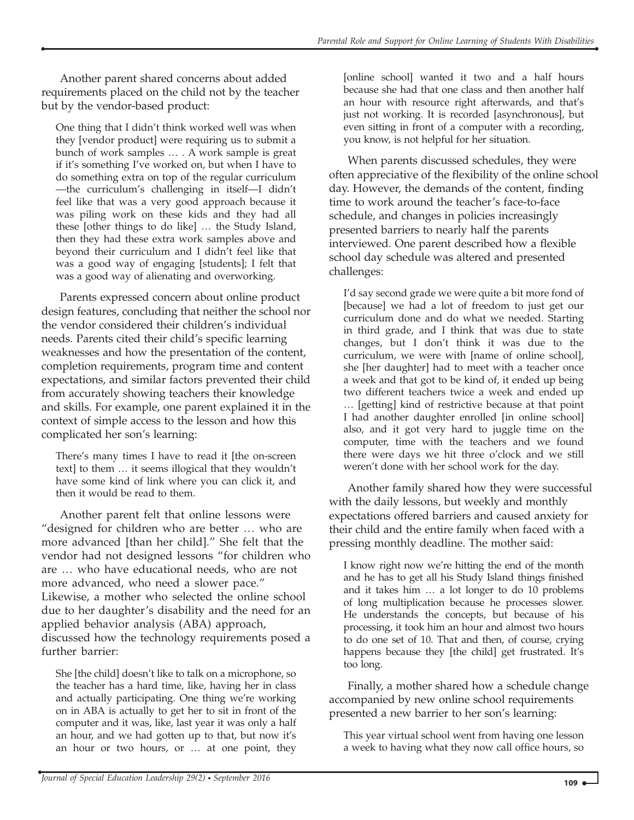Another parent shared concerns about added requirements placed on the child not by the teacher but by the vendor-based product:

One thing that I didn't think worked well was when they [vendor product] were requiring us to submit a bunch of work samples … . A work sample is great if it's something I've worked on, but when I have to do something extra on top of the regular curriculum —the curriculum's challenging in itself—I didn't feel like that was a very good approach because it was piling work on these kids and they had all these [other things to do like] … the Study Island, then they had these extra work samples above and beyond their curriculum and I didn't feel like that was a good way of engaging [students]; I felt that was a good way of alienating and overworking.

Parents expressed concern about online product design features, concluding that neither the school nor the vendor considered their children's individual needs. Parents cited their child's specific learning weaknesses and how the presentation of the content, completion requirements, program time and content expectations, and similar factors prevented their child from accurately showing teachers their knowledge and skills. For example, one parent explained it in the context of simple access to the lesson and how this complicated her son's learning:

There's many times I have to read it [the on-screen text] to them … it seems illogical that they wouldn't have some kind of link where you can click it, and then it would be read to them.

Another parent felt that online lessons were "designed for children who are better … who are more advanced [than her child]." She felt that the vendor had not designed lessons "for children who are … who have educational needs, who are not more advanced, who need a slower pace." Likewise, a mother who selected the online school due to her daughter's disability and the need for an applied behavior analysis (ABA) approach, discussed how the technology requirements posed a further barrier:

She [the child] doesn't like to talk on a microphone, so the teacher has a hard time, like, having her in class and actually participating. One thing we're working on in ABA is actually to get her to sit in front of the computer and it was, like, last year it was only a half an hour, and we had gotten up to that, but now it's an hour or two hours, or … at one point, they

[online school] wanted it two and a half hours because she had that one class and then another half an hour with resource right afterwards, and that's just not working. It is recorded [asynchronous], but even sitting in front of a computer with a recording, you know, is not helpful for her situation.

When parents discussed schedules, they were often appreciative of the flexibility of the online school day. However, the demands of the content, finding time to work around the teacher's face-to-face schedule, and changes in policies increasingly presented barriers to nearly half the parents interviewed. One parent described how a flexible school day schedule was altered and presented challenges:

I'd say second grade we were quite a bit more fond of [because] we had a lot of freedom to just get our curriculum done and do what we needed. Starting in third grade, and I think that was due to state changes, but I don't think it was due to the curriculum, we were with [name of online school], she [her daughter] had to meet with a teacher once a week and that got to be kind of, it ended up being two different teachers twice a week and ended up … [getting] kind of restrictive because at that point I had another daughter enrolled [in online school] also, and it got very hard to juggle time on the computer, time with the teachers and we found there were days we hit three o'clock and we still weren't done with her school work for the day.

Another family shared how they were successful with the daily lessons, but weekly and monthly expectations offered barriers and caused anxiety for their child and the entire family when faced with a pressing monthly deadline. The mother said:

I know right now we're hitting the end of the month and he has to get all his Study Island things finished and it takes him … a lot longer to do 10 problems of long multiplication because he processes slower. He understands the concepts, but because of his processing, it took him an hour and almost two hours to do one set of 10. That and then, of course, crying happens because they [the child] get frustrated. It's too long.

Finally, a mother shared how a schedule change accompanied by new online school requirements presented a new barrier to her son's learning:

This year virtual school went from having one lesson a week to having what they now call office hours, so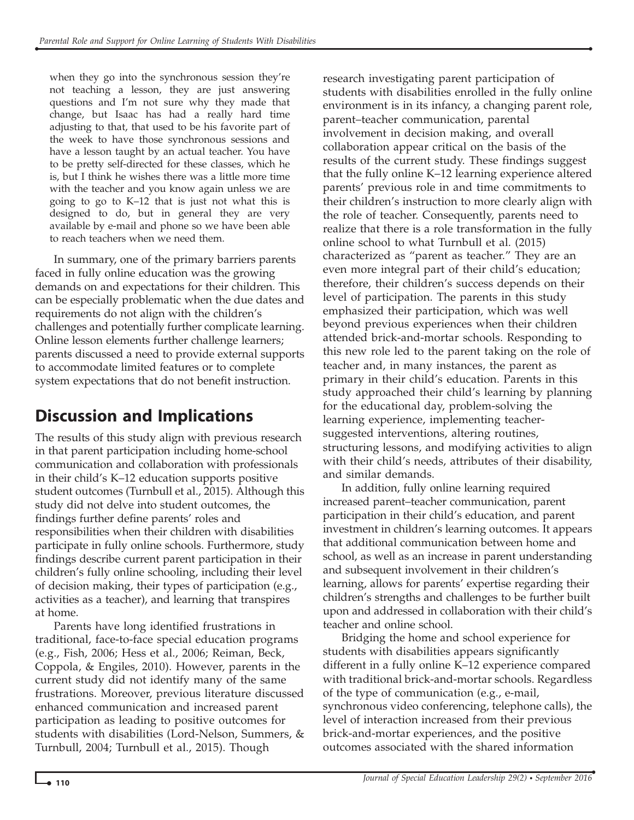when they go into the synchronous session they're not teaching a lesson, they are just answering questions and I'm not sure why they made that change, but Isaac has had a really hard time adjusting to that, that used to be his favorite part of the week to have those synchronous sessions and have a lesson taught by an actual teacher. You have to be pretty self-directed for these classes, which he is, but I think he wishes there was a little more time with the teacher and you know again unless we are going to go to K–12 that is just not what this is designed to do, but in general they are very available by e-mail and phone so we have been able to reach teachers when we need them.

In summary, one of the primary barriers parents faced in fully online education was the growing demands on and expectations for their children. This can be especially problematic when the due dates and requirements do not align with the children's challenges and potentially further complicate learning. Online lesson elements further challenge learners; parents discussed a need to provide external supports to accommodate limited features or to complete system expectations that do not benefit instruction.

## Discussion and Implications

The results of this study align with previous research in that parent participation including home-school communication and collaboration with professionals in their child's K–12 education supports positive student outcomes (Turnbull et al., 2015). Although this study did not delve into student outcomes, the findings further define parents' roles and responsibilities when their children with disabilities participate in fully online schools. Furthermore, study findings describe current parent participation in their children's fully online schooling, including their level of decision making, their types of participation (e.g., activities as a teacher), and learning that transpires at home.

Parents have long identified frustrations in traditional, face-to-face special education programs (e.g., Fish, 2006; Hess et al., 2006; Reiman, Beck, Coppola, & Engiles, 2010). However, parents in the current study did not identify many of the same frustrations. Moreover, previous literature discussed enhanced communication and increased parent participation as leading to positive outcomes for students with disabilities (Lord-Nelson, Summers, & Turnbull, 2004; Turnbull et al., 2015). Though

research investigating parent participation of students with disabilities enrolled in the fully online environment is in its infancy, a changing parent role, parent–teacher communication, parental involvement in decision making, and overall collaboration appear critical on the basis of the results of the current study. These findings suggest that the fully online K–12 learning experience altered parents' previous role in and time commitments to their children's instruction to more clearly align with the role of teacher. Consequently, parents need to realize that there is a role transformation in the fully online school to what Turnbull et al. (2015) characterized as "parent as teacher." They are an even more integral part of their child's education; therefore, their children's success depends on their level of participation. The parents in this study emphasized their participation, which was well beyond previous experiences when their children attended brick-and-mortar schools. Responding to this new role led to the parent taking on the role of teacher and, in many instances, the parent as primary in their child's education. Parents in this study approached their child's learning by planning for the educational day, problem-solving the learning experience, implementing teachersuggested interventions, altering routines, structuring lessons, and modifying activities to align with their child's needs, attributes of their disability, and similar demands.

In addition, fully online learning required increased parent–teacher communication, parent participation in their child's education, and parent investment in children's learning outcomes. It appears that additional communication between home and school, as well as an increase in parent understanding and subsequent involvement in their children's learning, allows for parents' expertise regarding their children's strengths and challenges to be further built upon and addressed in collaboration with their child's teacher and online school.

Bridging the home and school experience for students with disabilities appears significantly different in a fully online K–12 experience compared with traditional brick-and-mortar schools. Regardless of the type of communication (e.g., e-mail, synchronous video conferencing, telephone calls), the level of interaction increased from their previous brick-and-mortar experiences, and the positive outcomes associated with the shared information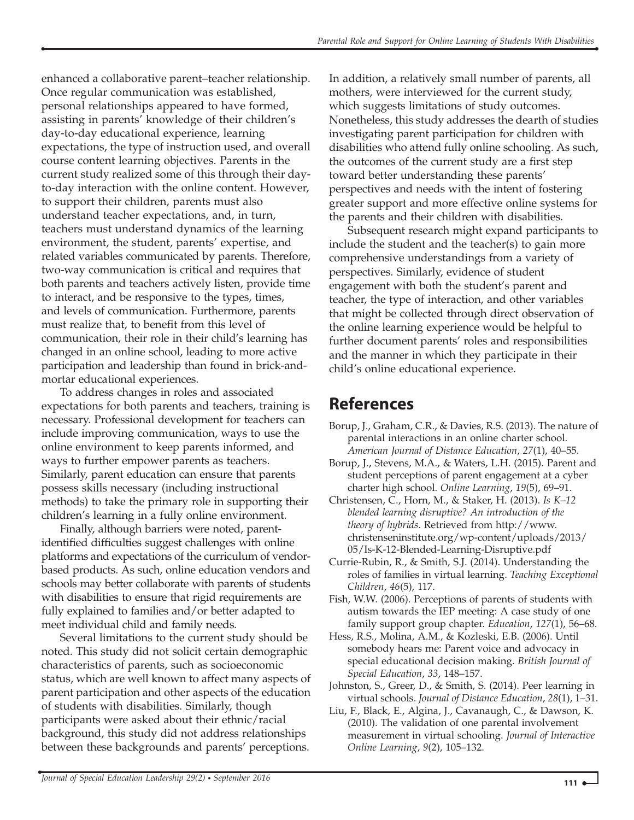enhanced a collaborative parent–teacher relationship. Once regular communication was established, personal relationships appeared to have formed, assisting in parents' knowledge of their children's day-to-day educational experience, learning expectations, the type of instruction used, and overall course content learning objectives. Parents in the current study realized some of this through their dayto-day interaction with the online content. However, to support their children, parents must also understand teacher expectations, and, in turn, teachers must understand dynamics of the learning environment, the student, parents' expertise, and related variables communicated by parents. Therefore, two-way communication is critical and requires that both parents and teachers actively listen, provide time to interact, and be responsive to the types, times, and levels of communication. Furthermore, parents must realize that, to benefit from this level of communication, their role in their child's learning has changed in an online school, leading to more active participation and leadership than found in brick-andmortar educational experiences.

To address changes in roles and associated expectations for both parents and teachers, training is necessary. Professional development for teachers can include improving communication, ways to use the online environment to keep parents informed, and ways to further empower parents as teachers. Similarly, parent education can ensure that parents possess skills necessary (including instructional methods) to take the primary role in supporting their children's learning in a fully online environment.

Finally, although barriers were noted, parentidentified difficulties suggest challenges with online platforms and expectations of the curriculum of vendorbased products. As such, online education vendors and schools may better collaborate with parents of students with disabilities to ensure that rigid requirements are fully explained to families and/or better adapted to meet individual child and family needs.

Several limitations to the current study should be noted. This study did not solicit certain demographic characteristics of parents, such as socioeconomic status, which are well known to affect many aspects of parent participation and other aspects of the education of students with disabilities. Similarly, though participants were asked about their ethnic/racial background, this study did not address relationships between these backgrounds and parents' perceptions.

In addition, a relatively small number of parents, all mothers, were interviewed for the current study, which suggests limitations of study outcomes. Nonetheless, this study addresses the dearth of studies investigating parent participation for children with disabilities who attend fully online schooling. As such, the outcomes of the current study are a first step toward better understanding these parents' perspectives and needs with the intent of fostering greater support and more effective online systems for the parents and their children with disabilities.

Subsequent research might expand participants to include the student and the teacher(s) to gain more comprehensive understandings from a variety of perspectives. Similarly, evidence of student engagement with both the student's parent and teacher, the type of interaction, and other variables that might be collected through direct observation of the online learning experience would be helpful to further document parents' roles and responsibilities and the manner in which they participate in their child's online educational experience.

### References

- Borup, J., Graham, C.R., & Davies, R.S. (2013). The nature of parental interactions in an online charter school. American Journal of Distance Education, 27(1), 40–55.
- Borup, J., Stevens, M.A., & Waters, L.H. (2015). Parent and student perceptions of parent engagement at a cyber charter high school. Online Learning, 19(5), 69–91.
- Christensen, C., Horn, M., & Staker, H. (2013). Is K–12 blended learning disruptive? An introduction of the theory of hybrids. Retrieved from http://www. christenseninstitute.org/wp-content/uploads/2013/ 05/Is-K-12-Blended-Learning-Disruptive.pdf
- Currie-Rubin, R., & Smith, S.J. (2014). Understanding the roles of families in virtual learning. Teaching Exceptional Children, 46(5), 117.
- Fish, W.W. (2006). Perceptions of parents of students with autism towards the IEP meeting: A case study of one family support group chapter. Education, 127(1), 56–68.
- Hess, R.S., Molina, A.M., & Kozleski, E.B. (2006). Until somebody hears me: Parent voice and advocacy in special educational decision making. British Journal of Special Education, 33, 148–157.
- Johnston, S., Greer, D., & Smith, S. (2014). Peer learning in virtual schools. Journal of Distance Education, 28(1), 1–31.
- Liu, F., Black, E., Algina, J., Cavanaugh, C., & Dawson, K. (2010). The validation of one parental involvement measurement in virtual schooling. Journal of Interactive Online Learning, 9(2), 105–132.